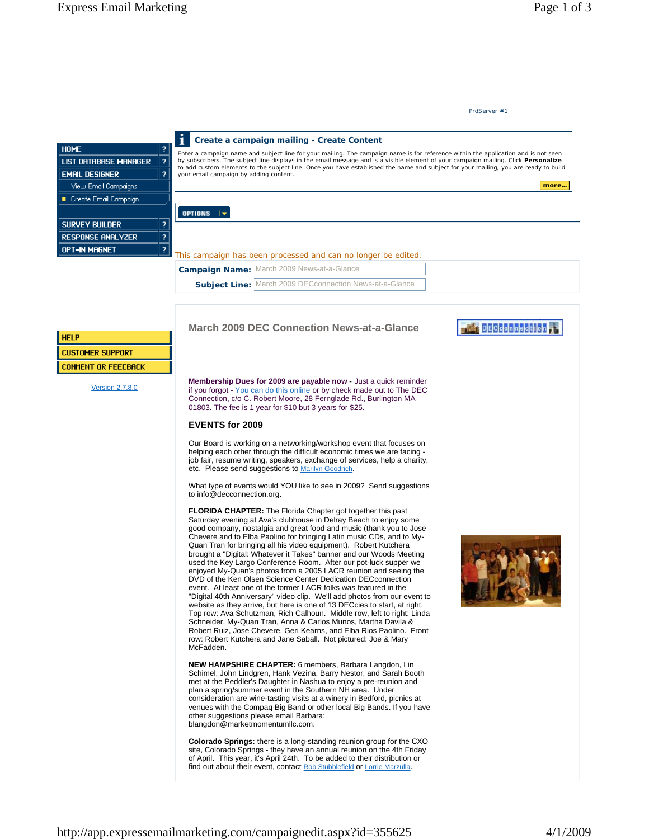## **March 2009 DEC Connection News-at-a-Glance**

**Membership Dues for 2009 are payable now -** Just a quick reminder if you forgot - You can do this online or by check made out to The DEC Connection, c/o C. Robert Moore, 28 Fernglade Rd., Burlington MA 01803. The fee is 1 year for \$10 but 3 years for \$25.

### **EVENTS for 2009**

Our Board is working on a networking/workshop event that focuses on helping each other through the difficult economic times we are facing job fair, resume writing, speakers, exchange of services, help a charity, etc. Please send suggestions to Marilyn Goodrich.

What type of events would YOU like to see in 2009? Send suggestions to info@decconnection.org.

**FLORIDA CHAPTER:** The Florida Chapter got together this past Saturday evening at Ava's clubhouse in Delray Beach to enjoy some good company, nostalgia and great food and music (thank you to Jose Chevere and to Elba Paolino for bringing Latin music CDs, and to My-Quan Tran for bringing all his video equipment). Robert Kutchera brought a "Digital: Whatever it Takes" banner and our Woods Meeting used the Key Largo Conference Room. After our pot-luck supper we enjoyed My-Quan's photos from a 2005 LACR reunion and seeing the DVD of the Ken Olsen Science Center Dedication DECconnection event. At least one of the former LACR folks was featured in the "Digital 40th Anniversary" video clip. We'll add photos from our event to website as they arrive, but here is one of 13 DECcies to start, at right. Top row: Ava Schutzman, Rich Calhoun. Middle row, left to right: Linda Schneider, My-Quan Tran, Anna & Carlos Munos, Martha Davila & Robert Ruiz, Jose Chevere, Geri Kearns, and Elba Rios Paolino. Front row: Robert Kutchera and Jane Saball. Not pictured: Joe & Mary McFadden.

**NEW HAMPSHIRE CHAPTER:** 6 members, Barbara Langdon, Lin Schimel, John Lindgren, Hank Vezina, Barry Nestor, and Sarah Booth met at the Peddler's Daughter in Nashua to enjoy a pre-reunion and plan a spring/summer event in the Southern NH area. Under consideration are wine-tasting visits at a winery in Bedford, picnics at venues with the Compaq Big Band or other local Big Bands. If you have other suggestions please email Barbara: blangdon@marketmomentumllc.com.

**Colorado Springs:** there is a long-standing reunion group for the CXO site, Colorado Springs - they have an annual reunion on the 4th Friday of April. This year, it's April 24th. To be added to their distribution or find out about their event, contact Rob Stubblefield or Lorrie Marzulla.



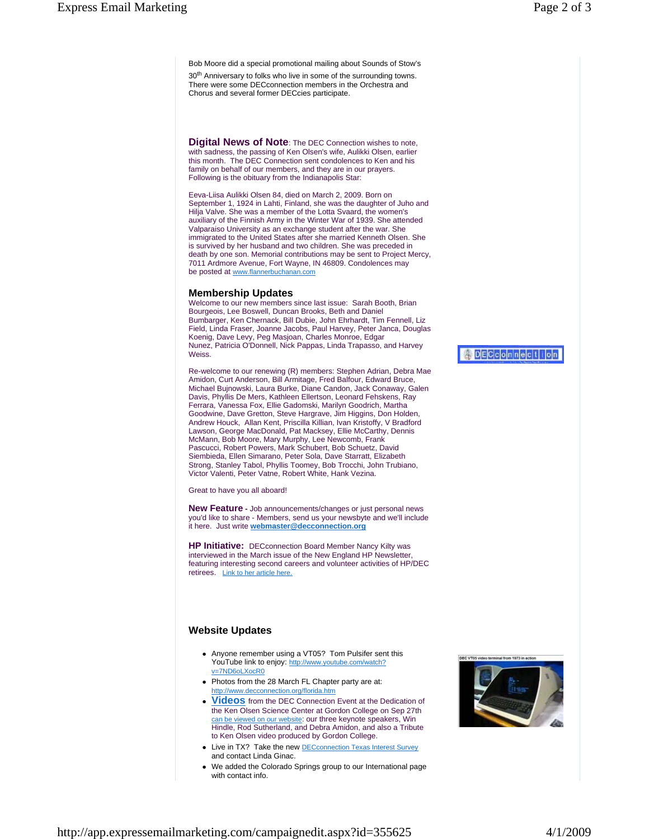Bob Moore did a special promotional mailing about Sounds of Stow's

30<sup>th</sup> Anniversary to folks who live in some of the surrounding towns. There were some DECconnection members in the Orchestra and Chorus and several former DECcies participate.

**Digital News of Note**: The DEC Connection wishes to note, with sadness, the passing of Ken Olsen's wife, Aulikki Olsen, earlier this month. The DEC Connection sent condolences to Ken and his family on behalf of our members, and they are in our prayers. Following is the obituary from the Indianapolis Star:

Eeva-Liisa Aulikki Olsen 84, died on March 2, 2009. Born on September 1, 1924 in Lahti, Finland, she was the daughter of Juho and Hilja Valve. She was a member of the Lotta Svaard, the women's auxiliary of the Finnish Army in the Winter War of 1939. She attended Valparaiso University as an exchange student after the war. She immigrated to the United States after she married Kenneth Olsen. She is survived by her husband and two children. She was preceded in death by one son. Memorial contributions may be sent to Project Mercy, 7011 Ardmore Avenue, Fort Wayne, IN 46809. Condolences may be posted at www.flannerbuchanan.com

### **Membership Updates**

Welcome to our new members since last issue: Sarah Booth, Brian Bourgeois, Lee Boswell, Duncan Brooks, Beth and Daniel Bumbarger, Ken Chernack, Bill Dubie, John Ehrhardt, Tim Fennell, Liz Field, Linda Fraser, Joanne Jacobs, Paul Harvey, Peter Janca, Douglas Koenig, Dave Levy, Peg Masjoan, Charles Monroe, Edgar Nunez, Patricia O'Donnell, Nick Pappas, Linda Trapasso, and Harvey Weiss.

Re-welcome to our renewing (R) members: Stephen Adrian, Debra Mae Amidon, Curt Anderson, Bill Armitage, Fred Balfour, Edward Bruce, Michael Bujnowski, Laura Burke, Diane Candon, Jack Conaway, Galen Davis, Phyllis De Mers, Kathleen Ellertson, Leonard Fehskens, Ray Ferrara, Vanessa Fox, Ellie Gadomski, Marilyn Goodrich, Martha Goodwine, Dave Gretton, Steve Hargrave, Jim Higgins, Don Holden, Andrew Houck, Allan Kent, Priscilla Killian, Ivan Kristoffy, V Bradford Lawson, George MacDonald, Pat Macksey, Ellie McCarthy, Dennis McMann, Bob Moore, Mary Murphy, Lee Newcomb, Frank Pascucci, Robert Powers, Mark Schubert, Bob Schuetz, David Siembieda, Ellen Simarano, Peter Sola, Dave Starratt, Elizabeth Strong, Stanley Tabol, Phyllis Toomey, Bob Trocchi, John Trubiano, Victor Valenti, Peter Vatne, Robert White, Hank Vezina.

Great to have you all aboard!

**New Feature -** Job announcements/changes or just personal news you'd like to share - Members, send us your newsbyte and we'll include it here. Just write **webmaster@decconnection.org**

**HP Initiative:** DECconnection Board Member Nancy Kilty was interviewed in the March issue of the New England HP Newsletter featuring interesting second careers and volunteer activities of HP/DEC retirees. Link to her article here.

# **Website Updates**

- Anyone remember using a VT05? Tom Pulsifer sent this YouTube link to enjoy: http://www.youtube.com/watch? v=7ND6oLXocR0
- Photos from the 28 March FL Chapter party are at: http://www.decconnection.org/florida.htm
- **Videos** from the DEC Connection Event at the Dedication of the Ken Olsen Science Center at Gordon College on Sep 27th can be viewed on our website: our three keynote speakers, Win Hindle, Rod Sutherland, and Debra Amidon, and also a Tribute to Ken Olsen video produced by Gordon College.
- Live in TX? Take the new DECconnection Texas Interest Survey and contact Linda Ginac.
- We added the Colorado Springs group to our International page with contact info.



nec year 1973 in a